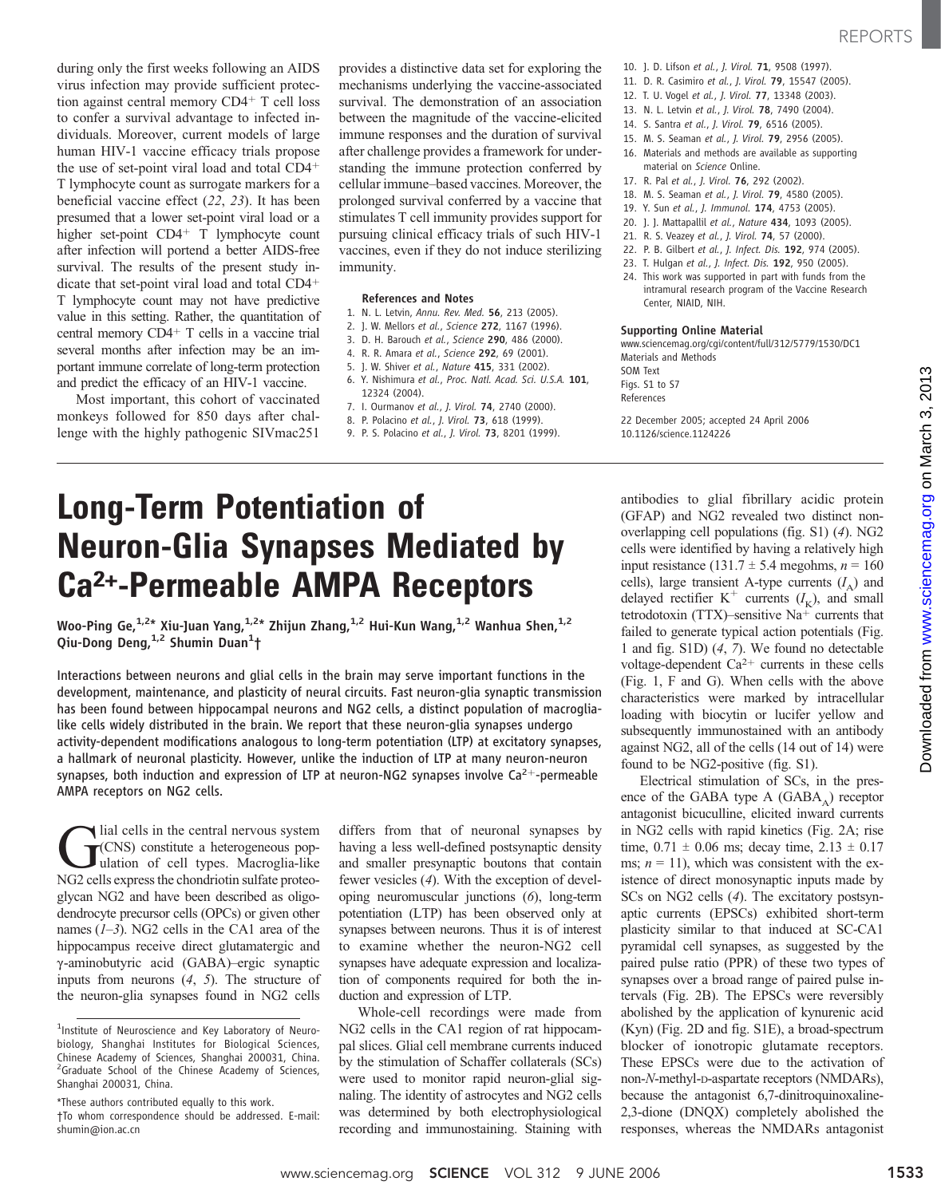during only the first weeks following an AIDS virus infection may provide sufficient protection against central memory  $CD4+T$  cell loss to confer a survival advantage to infected individuals. Moreover, current models of large human HIV-1 vaccine efficacy trials propose the use of set-point viral load and total  $CD4<sup>+</sup>$ T lymphocyte count as surrogate markers for a beneficial vaccine effect (22, 23). It has been presumed that a lower set-point viral load or a higher set-point CD4<sup>+</sup> T lymphocyte count after infection will portend a better AIDS-free survival. The results of the present study indicate that set-point viral load and total  $CD4<sup>+</sup>$ T lymphocyte count may not have predictive value in this setting. Rather, the quantitation of central memory  $CD4+T$  cells in a vaccine trial several months after infection may be an important immune correlate of long-term protection and predict the efficacy of an HIV-1 vaccine.

Most important, this cohort of vaccinated monkeys followed for 850 days after challenge with the highly pathogenic SIVmac251

provides a distinctive data set for exploring the mechanisms underlying the vaccine-associated survival. The demonstration of an association between the magnitude of the vaccine-elicited immune responses and the duration of survival after challenge provides a framework for understanding the immune protection conferred by cellular immune–based vaccines. Moreover, the prolonged survival conferred by a vaccine that stimulates T cell immunity provides support for pursuing clinical efficacy trials of such HIV-1 vaccines, even if they do not induce sterilizing immunity.

## References and Notes

- 1. N. L. Letvin, Annu. Rev. Med. 56, 213 (2005).
- 2. J. W. Mellors et al., Science 272, 1167 (1996).
- 3. D. H. Barouch et al., Science 290, 486 (2000).
- 4. R. R. Amara et al., Science 292, 69 (2001).
- 5. J. W. Shiver et al., Nature 415, 331 (2002).
- 6. Y. Nishimura et al., Proc. Natl. Acad. Sci. U.S.A. 101, 12324 (2004).
- 7. I. Ourmanov et al., J. Virol. 74, 2740 (2000).
- 8. P. Polacino et al., *I. Virol.* **73**, 618 (1999).
- 9. P. S. Polacino et al., J. Virol. 73, 8201 (1999).

# Long-Term Potentiation of Neuron-Glia Synapses Mediated by Ca2+-Permeable AMPA Receptors

Woo-Ping Ge,  $1.2*$  Xiu-Juan Yang,  $1.2*$  Zhijun Zhang,  $1.2$  Hui-Kun Wang,  $1.2$  Wanhua Shen,  $1.2$ Qiu-Dong Deng,<sup>1,2</sup> Shumin Duan<sup>1</sup>†

Interactions between neurons and glial cells in the brain may serve important functions in the development, maintenance, and plasticity of neural circuits. Fast neuron-glia synaptic transmission has been found between hippocampal neurons and NG2 cells, a distinct population of macroglialike cells widely distributed in the brain. We report that these neuron-glia synapses undergo activity-dependent modifications analogous to long-term potentiation (LTP) at excitatory synapses, a hallmark of neuronal plasticity. However, unlike the induction of LTP at many neuron-neuron synapses, both induction and expression of LTP at neuron-NG2 synapses involve  $Ca^{2+}$ -permeable AMPA receptors on NG2 cells.

lial cells in the central nervous system (CNS) constitute a heterogeneous population of cell types. Macroglia-like NG2 cells express the chondriotin sulfate proteoglycan NG2 and have been described as oligodendrocyte precursor cells (OPCs) or given other names  $(1-3)$ . NG2 cells in the CA1 area of the hippocampus receive direct glutamatergic and g-aminobutyric acid (GABA)–ergic synaptic inputs from neurons (4, 5). The structure of the neuron-glia synapses found in NG2 cells

differs from that of neuronal synapses by having a less well-defined postsynaptic density and smaller presynaptic boutons that contain fewer vesicles (4). With the exception of developing neuromuscular junctions (6), long-term potentiation (LTP) has been observed only at synapses between neurons. Thus it is of interest to examine whether the neuron-NG2 cell synapses have adequate expression and localization of components required for both the induction and expression of LTP.

Whole-cell recordings were made from NG2 cells in the CA1 region of rat hippocampal slices. Glial cell membrane currents induced by the stimulation of Schaffer collaterals (SCs) were used to monitor rapid neuron-glial signaling. The identity of astrocytes and NG2 cells was determined by both electrophysiological recording and immunostaining. Staining with

- 10. J. D. Lifson et al., J. Virol. 71, 9508 (1997).
- 11. D. R. Casimiro et al., J. Virol. 79, 15547 (2005).
- 12. T. U. Vogel et al., J. Virol. 77, 13348 (2003).
- 13. N. L. Letvin et al., J. Virol. 78, 7490 (2004). 14. S. Santra et al., J. Virol. 79, 6516 (2005).
- 15. M. S. Seaman et al., J. Virol. 79, 2956 (2005).
- 16. Materials and methods are available as supporting material on Science Online.
- 17. R. Pal et al., J. Virol. 76, 292 (2002).
- 18. M. S. Seaman et al., J. Virol. 79, 4580 (2005).
- 19. Y. Sun et al., J. Immunol. 174, 4753 (2005).
- 20. J. J. Mattapallil et al., Nature 434, 1093 (2005).
- 21. R. S. Veazey et al., J. Virol. 74, 57 (2000).
- 22. P. B. Gilbert et al., J. Infect. Dis. 192, 974 (2005).
- 23. T. Hulgan et al., J. Infect. Dis. 192, 950 (2005).
- 24. This work was supported in part with funds from the intramural research program of the Vaccine Research Center, NIAID, NIH.

## Supporting Online Material

www.sciencemag.org/cgi/content/full/312/5779/1530/DC1 Materials and Methods SOM Text Figs. S1 to S7 References

22 December 2005; accepted 24 April 2006 10.1126/science.1124226

antibodies to glial fibrillary acidic protein (GFAP) and NG2 revealed two distinct nonoverlapping cell populations (fig. S1) (4). NG2 cells were identified by having a relatively high input resistance (131.7  $\pm$  5.4 megohms,  $n = 160$ cells), large transient A-type currents  $(I_A)$  and delayed rectifier K<sup>+</sup> currents  $(I_K)$ , and small tetrodotoxin (TTX)–sensitive Na<sup>+</sup> currents that failed to generate typical action potentials (Fig. 1 and fig. S1D) (4, 7). We found no detectable voltage-dependent  $Ca^{2+}$  currents in these cells (Fig. 1, F and G). When cells with the above characteristics were marked by intracellular loading with biocytin or lucifer yellow and subsequently immunostained with an antibody against NG2, all of the cells (14 out of 14) were found to be NG2-positive (fig. S1).

Electrical stimulation of SCs, in the presence of the GABA type A  $(GABA_A)$  receptor antagonist bicuculline, elicited inward currents in NG2 cells with rapid kinetics (Fig. 2A; rise time,  $0.71 \pm 0.06$  ms; decay time,  $2.13 \pm 0.17$ ms;  $n = 11$ ), which was consistent with the existence of direct monosynaptic inputs made by SCs on NG2 cells (4). The excitatory postsynaptic currents (EPSCs) exhibited short-term plasticity similar to that induced at SC-CA1 pyramidal cell synapses, as suggested by the paired pulse ratio (PPR) of these two types of synapses over a broad range of paired pulse intervals (Fig. 2B). The EPSCs were reversibly abolished by the application of kynurenic acid (Kyn) (Fig. 2D and fig. S1E), a broad-spectrum blocker of ionotropic glutamate receptors. These EPSCs were due to the activation of non-N-methyl-D-aspartate receptors (NMDARs), because the antagonist 6,7-dinitroquinoxaline-2,3-dione (DNQX) completely abolished the responses, whereas the NMDARs antagonist Columentary is the state of the state of the state of the state of the state of the state of the state of the state of the state of the state of the state of the state of the state of the state of the state of the state o

<sup>&</sup>lt;sup>1</sup>Institute of Neuroscience and Key Laboratory of Neurobiology, Shanghai Institutes for Biological Sciences, Chinese Academy of Sciences, Shanghai 200031, China. <sup>2</sup>Graduate School of the Chinese Academy of Sciences, Shanghai 200031, China.

<sup>\*</sup>These authors contributed equally to this work. †To whom correspondence should be addressed. E-mail: shumin@ion.ac.cn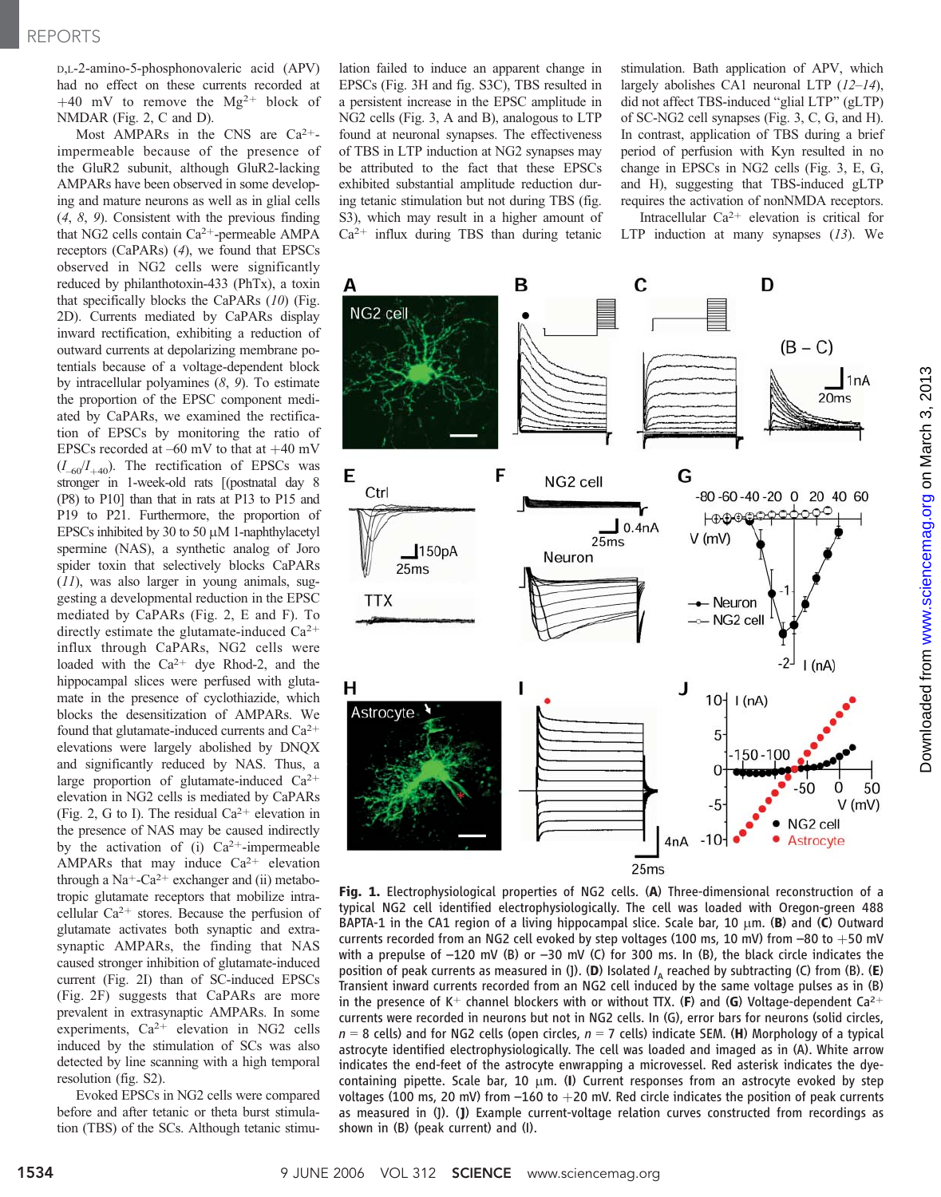D,L-2-amino-5-phosphonovaleric acid (APV) had no effect on these currents recorded at +40 mV to remove the  $Mg^{2+}$  block of NMDAR (Fig. 2, C and D).

Most AMPARs in the CNS are  $Ca^{2+}$ impermeable because of the presence of the GluR2 subunit, although GluR2-lacking AMPARs have been observed in some developing and mature neurons as well as in glial cells (4, 8, 9). Consistent with the previous finding that NG2 cells contain  $Ca^{2+}$ -permeable AMPA receptors (CaPARs) (4), we found that EPSCs observed in NG2 cells were significantly reduced by philanthotoxin-433 (PhTx), a toxin that specifically blocks the CaPARs  $(10)$  (Fig. 2D). Currents mediated by CaPARs display inward rectification, exhibiting a reduction of outward currents at depolarizing membrane potentials because of a voltage-dependent block by intracellular polyamines  $(8, 9)$ . To estimate the proportion of the EPSC component mediated by CaPARs, we examined the rectification of EPSCs by monitoring the ratio of EPSCs recorded at  $-60$  mV to that at  $+40$  mV  $(I_{-60}/I_{+40})$ . The rectification of EPSCs was stronger in 1-week-old rats [(postnatal day 8 (P8) to P10<sup>1</sup> than that in rats at P13 to P15 and P19 to P21. Furthermore, the proportion of EPSCs inhibited by 30 to 50  $\mu$ M 1-naphthylacetyl spermine (NAS), a synthetic analog of Joro spider toxin that selectively blocks CaPARs  $(11)$ , was also larger in young animals, suggesting a developmental reduction in the EPSC mediated by CaPARs (Fig. 2, E and F). To directly estimate the glutamate-induced  $Ca^{2+}$ influx through CaPARs, NG2 cells were loaded with the  $Ca^{2+}$  dye Rhod-2, and the hippocampal slices were perfused with glutamate in the presence of cyclothiazide, which blocks the desensitization of AMPARs. We found that glutamate-induced currents and  $Ca^{2+}$ elevations were largely abolished by DNQX and significantly reduced by NAS. Thus, a large proportion of glutamate-induced  $Ca^{2+}$ elevation in NG2 cells is mediated by CaPARs (Fig. 2, G to I). The residual  $Ca^{2+}$  elevation in the presence of NAS may be caused indirectly by the activation of (i)  $Ca^{2+}$ -impermeable AMPARs that may induce  $Ca^{2+}$  elevation through a Na<sup>+</sup>-Ca<sup>2+</sup> exchanger and (ii) metabotropic glutamate receptors that mobilize intracellular  $Ca^{2+}$  stores. Because the perfusion of glutamate activates both synaptic and extrasynaptic AMPARs, the finding that NAS caused stronger inhibition of glutamate-induced current (Fig. 2I) than of SC-induced EPSCs (Fig. 2F) suggests that CaPARs are more prevalent in extrasynaptic AMPARs. In some experiments,  $Ca^{2+}$  elevation in NG2 cells induced by the stimulation of SCs was also detected by line scanning with a high temporal resolution (fig. S2).

Evoked EPSCs in NG2 cells were compared before and after tetanic or theta burst stimulation (TBS) of the SCs. Although tetanic stimulation failed to induce an apparent change in EPSCs (Fig. 3H and fig. S3C), TBS resulted in a persistent increase in the EPSC amplitude in NG2 cells (Fig. 3, A and B), analogous to LTP found at neuronal synapses. The effectiveness of TBS in LTP induction at NG2 synapses may be attributed to the fact that these EPSCs exhibited substantial amplitude reduction during tetanic stimulation but not during TBS (fig. S3), which may result in a higher amount of  $Ca<sup>2+</sup>$  influx during TBS than during tetanic

stimulation. Bath application of APV, which largely abolishes CA1 neuronal LTP  $(12-14)$ , did not affect TBS-induced "glial LTP" (gLTP) of SC-NG2 cell synapses (Fig. 3, C, G, and H). In contrast, application of TBS during a brief period of perfusion with Kyn resulted in no change in EPSCs in NG2 cells (Fig. 3, E, G, and H), suggesting that TBS-induced gLTP requires the activation of nonNMDA receptors.

Intracellular  $Ca^{2+}$  elevation is critical for LTP induction at many synapses  $(13)$ . We



Fig. 1. Electrophysiological properties of NG2 cells. (A) Three-dimensional reconstruction of a typical NG2 cell identified electrophysiologically. The cell was loaded with Oregon-green 488 BAPTA-1 in the CA1 region of a living hippocampal slice. Scale bar, 10  $\mu$ m. (B) and (C) Outward currents recorded from an NG2 cell evoked by step voltages (100 ms, 10 mV) from  $-80$  to  $+50$  mV with a prepulse of -120 mV (B) or -30 mV (C) for 300 ms. In (B), the black circle indicates the position of peak currents as measured in (J). (D) Isolated  $I_A$  reached by subtracting (C) from (B). (E) Transient inward currents recorded from an NG2 cell induced by the same voltage pulses as in (B) in the presence of K<sup>+</sup> channel blockers with or without TTX. (F) and (G) Voltage-dependent Ca<sup>2+</sup> currents were recorded in neurons but not in NG2 cells. In (G), error bars for neurons (solid circles,  $n = 8$  cells) and for NG2 cells (open circles,  $n = 7$  cells) indicate SEM. (H) Morphology of a typical astrocyte identified electrophysiologically. The cell was loaded and imaged as in (A). White arrow indicates the end-feet of the astrocyte enwrapping a microvessel. Red asterisk indicates the dyecontaining pipette. Scale bar, 10  $\mu$ m. (I) Current responses from an astrocyte evoked by step voltages (100 ms, 20 mV) from  $-160$  to  $+20$  mV. Red circle indicates the position of peak currents as measured in (J). (J) Example current-voltage relation curves constructed from recordings as shown in (B) (peak current) and (I).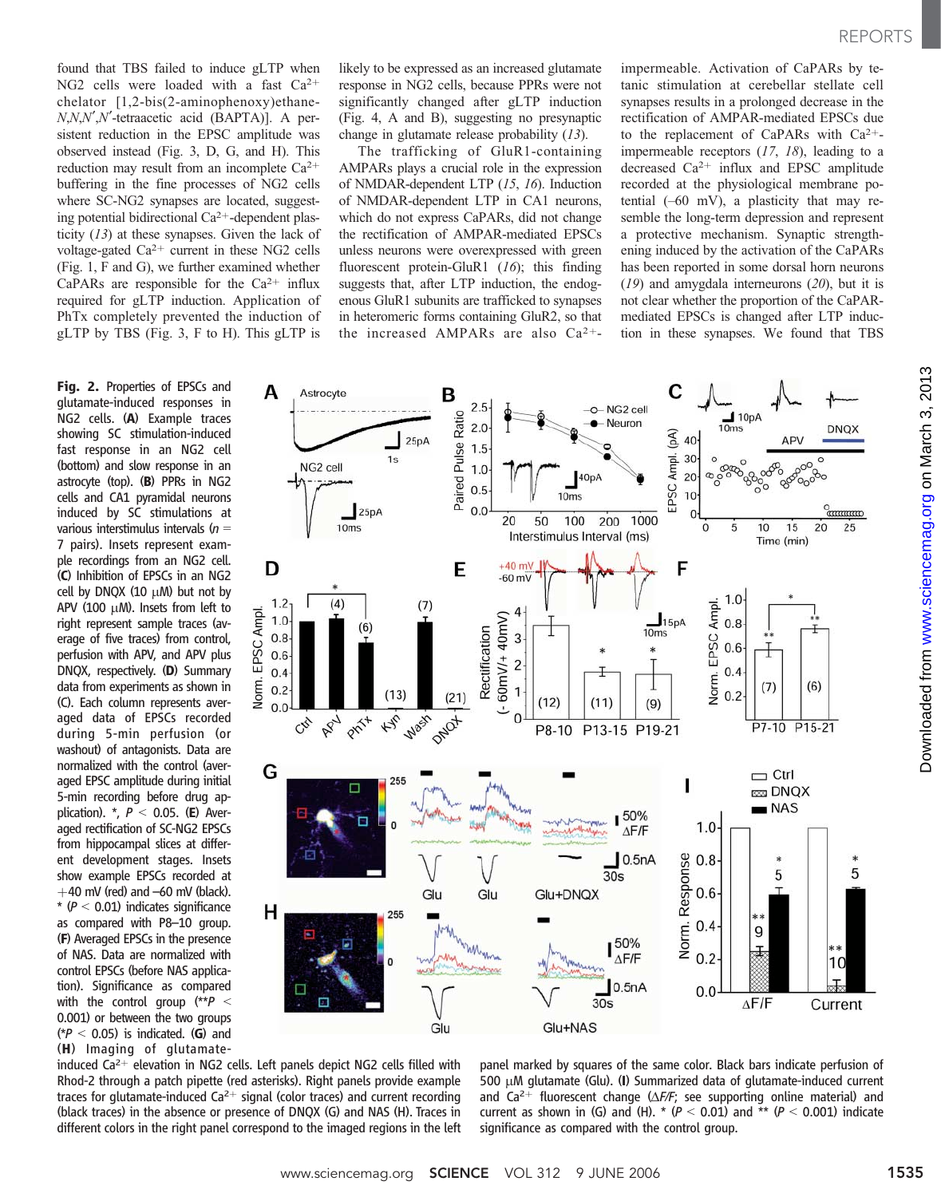found that TBS failed to induce gLTP when NG2 cells were loaded with a fast  $Ca^{2+}$ chelator  $[1,2-bis(2-aminophenoxy)ethane N, N, N', N'$ -tetraacetic acid (BAPTA)]. A persistent reduction in the EPSC amplitude was observed instead (Fig. 3, D, G, and H). This reduction may result from an incomplete  $Ca^{2+}$ buffering in the fine processes of NG2 cells where SC-NG2 synapses are located, suggesting potential bidirectional Ca<sup>2+</sup>-dependent plasticity (13) at these synapses. Given the lack of voltage-gated  $Ca^{2+}$  current in these NG2 cells (Fig. 1, F and G), we further examined whether CaPARs are responsible for the  $Ca^{2+}$  influx required for gLTP induction. Application of PhTx completely prevented the induction of gLTP by TBS (Fig. 3, F to H). This gLTP is

Fig. 2. Properties of EPSCs and glutamate-induced responses in NG2 cells. (A) Example traces showing SC stimulation-induced fast response in an NG2 cell (bottom) and slow response in an astrocyte (top). (B) PPRs in NG2 cells and CA1 pyramidal neurons induced by SC stimulations at various interstimulus intervals ( $n =$ 7 pairs). Insets represent example recordings from an NG2 cell. (C) Inhibition of EPSCs in an NG2 cell by DNQX  $(10 \mu)$  but not by APV (100  $\mu$ M). Insets from left to right represent sample traces (average of five traces) from control, perfusion with APV, and APV plus DNQX, respectively. (D) Summary data from experiments as shown in (C). Each column represents averaged data of EPSCs recorded during 5-min perfusion (or washout) of antagonists. Data are normalized with the control (averaged EPSC amplitude during initial 5-min recording before drug application).  $*, P < 0.05.$  (E) Averaged rectification of SC-NG2 EPSCs from hippocampal slices at different development stages. Insets show example EPSCs recorded at  $+40$  mV (red) and  $-60$  mV (black).  $*$  ( $P < 0.01$ ) indicates significance as compared with P8–10 group. (F) Averaged EPSCs in the presence of NAS. Data are normalized with control EPSCs (before NAS application). Significance as compared with the control group  $(*p <$ 0.001) or between the two groups  $(*P < 0.05)$  is indicated. (G) and (H) Imaging of glutamatelikely to be expressed as an increased glutamate response in NG2 cells, because PPRs were not significantly changed after gLTP induction (Fig. 4, A and B), suggesting no presynaptic change in glutamate release probability (13).

The trafficking of GluR1-containing AMPARs plays a crucial role in the expression of NMDAR-dependent LTP (15, 16). Induction of NMDAR-dependent LTP in CA1 neurons, which do not express CaPARs, did not change the rectification of AMPAR-mediated EPSCs unless neurons were overexpressed with green fluorescent protein-GluR1 (16); this finding suggests that, after LTP induction, the endogenous GluR1 subunits are trafficked to synapses in heteromeric forms containing GluR2, so that the increased AMPARs are also  $Ca^{2+}$ -

impermeable. Activation of CaPARs by tetanic stimulation at cerebellar stellate cell synapses results in a prolonged decrease in the rectification of AMPAR-mediated EPSCs due to the replacement of CaPARs with  $Ca^{2+}$ impermeable receptors  $(17, 18)$ , leading to a decreased  $Ca^{2+}$  influx and EPSC amplitude recorded at the physiological membrane potential (–60 mV), a plasticity that may resemble the long-term depression and represent a protective mechanism. Synaptic strengthening induced by the activation of the CaPARs has been reported in some dorsal horn neurons  $(19)$  and amygdala interneurons  $(20)$ , but it is not clear whether the proportion of the CaPARmediated EPSCs is changed after LTP induction in these synapses. We found that TBS



induced  $Ca^{2+}$  elevation in NG2 cells. Left panels depict NG2 cells filled with Rhod-2 through a patch pipette (red asterisks). Right panels provide example traces for glutamate-induced  $Ca^{2+}$  signal (color traces) and current recording (black traces) in the absence or presence of DNQX (G) and NAS (H). Traces in different colors in the right panel correspond to the imaged regions in the left panel marked by squares of the same color. Black bars indicate perfusion of 500  $\mu$ M glutamate (Glu). (I) Summarized data of glutamate-induced current and Ca<sup>2+</sup> fluorescent change ( $\Delta F/F$ ; see supporting online material) and current as shown in (G) and (H).  $*(P < 0.01)$  and  $** (P < 0.001)$  indicate significance as compared with the control group.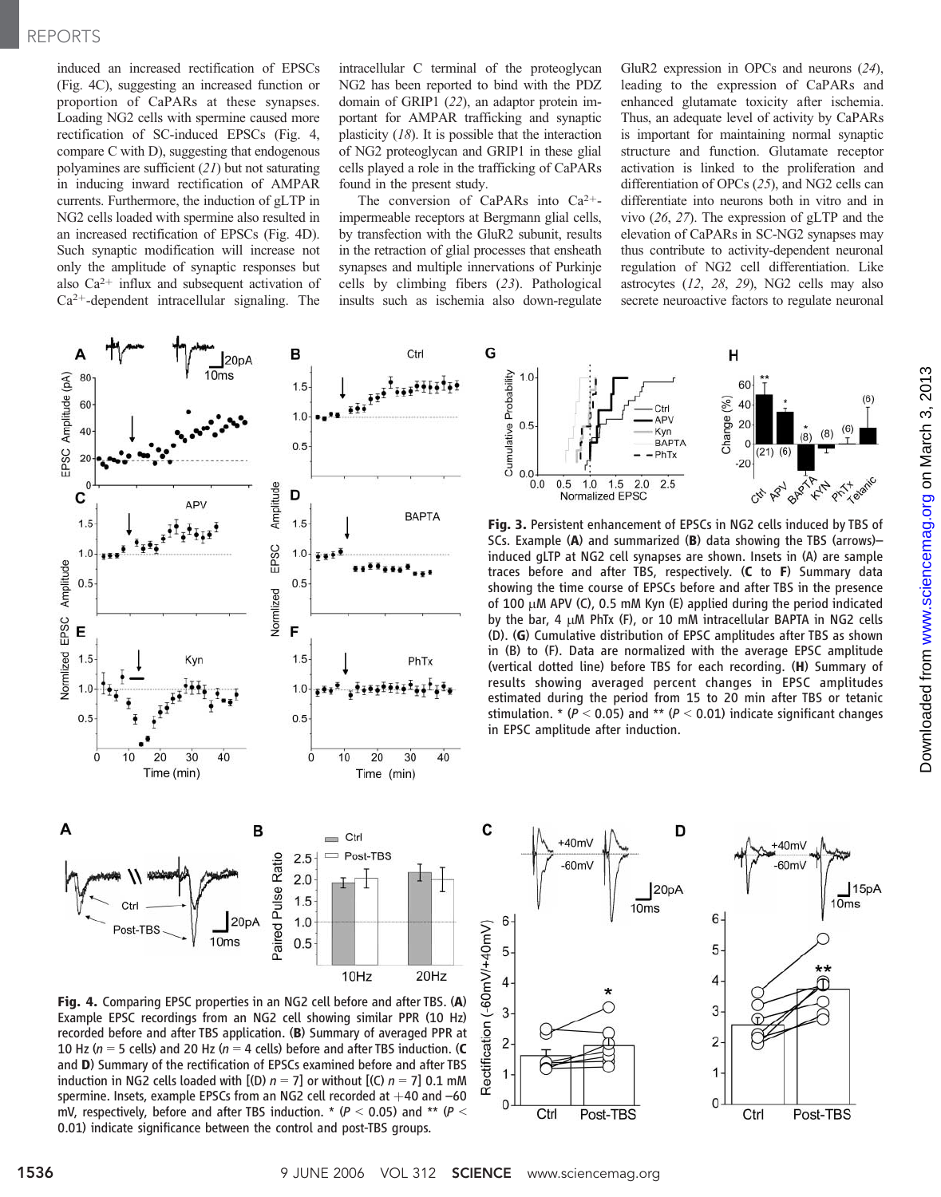## REPORTS

induced an increased rectification of EPSCs (Fig. 4C), suggesting an increased function or proportion of CaPARs at these synapses. Loading NG2 cells with spermine caused more rectification of SC-induced EPSCs (Fig. 4, compare C with D), suggesting that endogenous polyamines are sufficient (21) but not saturating in inducing inward rectification of AMPAR currents. Furthermore, the induction of gLTP in NG2 cells loaded with spermine also resulted in an increased rectification of EPSCs (Fig. 4D). Such synaptic modification will increase not only the amplitude of synaptic responses but also  $Ca^{2+}$  influx and subsequent activation of  $Ca<sup>2+</sup>$ -dependent intracellular signaling. The

intracellular C terminal of the proteoglycan NG2 has been reported to bind with the PDZ domain of GRIP1 (22), an adaptor protein important for AMPAR trafficking and synaptic plasticity  $(18)$ . It is possible that the interaction of NG2 proteoglycan and GRIP1 in these glial cells played a role in the trafficking of CaPARs found in the present study.

The conversion of CaPARs into  $Ca^{2+}$ impermeable receptors at Bergmann glial cells, by transfection with the GluR2 subunit, results in the retraction of glial processes that ensheath synapses and multiple innervations of Purkinje cells by climbing fibers (23). Pathological insults such as ischemia also down-regulate

G

GluR2 expression in OPCs and neurons (24), leading to the expression of CaPARs and enhanced glutamate toxicity after ischemia. Thus, an adequate level of activity by CaPARs is important for maintaining normal synaptic structure and function. Glutamate receptor activation is linked to the proliferation and differentiation of OPCs (25), and NG2 cells can differentiate into neurons both in vitro and in vivo (26, 27). The expression of gLTP and the elevation of CaPARs in SC-NG2 synapses may thus contribute to activity-dependent neuronal regulation of NG2 cell differentiation. Like astrocytes (12, 28, 29), NG2 cells may also secrete neuroactive factors to regulate neuronal





Fig. 4. Comparing EPSC properties in an NG2 cell before and after TBS. (A) Example EPSC recordings from an NG2 cell showing similar PPR (10 Hz) recorded before and after TBS application. (B) Summary of averaged PPR at 10 Hz ( $n = 5$  cells) and 20 Hz ( $n = 4$  cells) before and after TBS induction. (C and D) Summary of the rectification of EPSCs examined before and after TBS induction in NG2 cells loaded with  $[(D) n = 7]$  or without  $[(C) n = 7]$  0.1 mM spermine. Insets, example EPSCs from an NG2 cell recorded at  $+40$  and  $-60$ mV, respectively, before and after TBS induction.  $*$  ( $P < 0.05$ ) and  $**$  ( $P <$ 0.01) indicate significance between the control and post-TBS groups.



Fig. 3. Persistent enhancement of EPSCs in NG2 cells induced by TBS of SCs. Example (A) and summarized (B) data showing the TBS (arrows)– induced gLTP at NG2 cell synapses are shown. Insets in (A) are sample traces before and after TBS, respectively. (C to F) Summary data showing the time course of EPSCs before and after TBS in the presence of 100  $\mu$ M APV (C), 0.5 mM Kyn (E) applied during the period indicated by the bar, 4  $\mu$ M PhTx (F), or 10 mM intracellular BAPTA in NG2 cells (D). (G) Cumulative distribution of EPSC amplitudes after TBS as shown in (B) to (F). Data are normalized with the average EPSC amplitude (vertical dotted line) before TBS for each recording. (H) Summary of results showing averaged percent changes in EPSC amplitudes estimated during the period from 15 to 20 min after TBS or tetanic stimulation. \* ( $P < 0.05$ ) and \*\* ( $P < 0.01$ ) indicate significant changes in EPSC amplitude after induction.